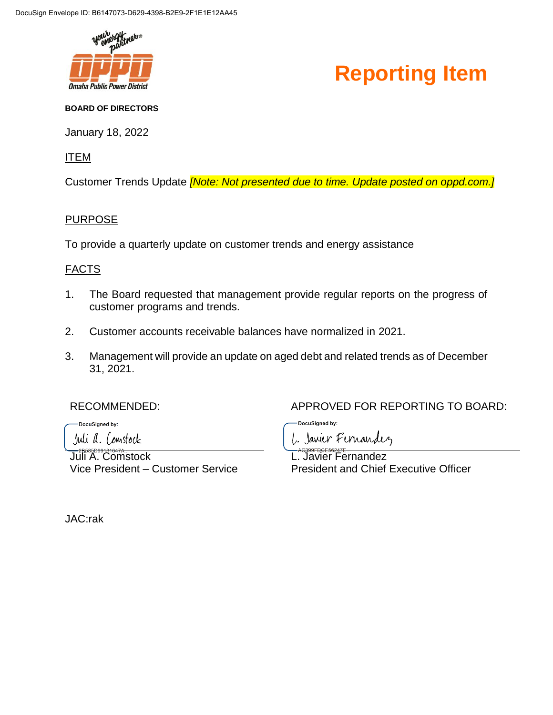

#### **Reporting Item**

#### **BOARD OF DIRECTORS**

January 18, 2022

ITEM

Customer Trends Update *[Note: Not presented due to time. Update posted on oppd.com.]*

#### PURPOSE

To provide a quarterly update on customer trends and energy assistance

#### FACTS

- 1. The Board requested that management provide regular reports on the progress of customer programs and trends.
- 2. Customer accounts receivable balances have normalized in 2021.
- 3. Management will provide an update on aged debt and related trends as of December 31, 2021.

DocuSigned by:

Juli a. Comstock

Juli A. Comstock Vice President – Customer Service

RECOMMENDED: APPROVED FOR REPORTING TO BOARD:

**DocuSianed by:** 

Javier Fernandez

L. Javier Fernandez President and Chief Executive Officer

JAC:rak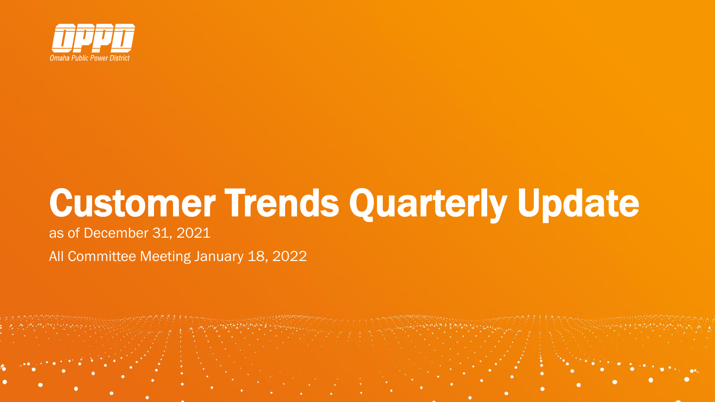

# Customer Trends Quarterly Update

as of December 31, 2021

All Committee Meeting January 18, 2022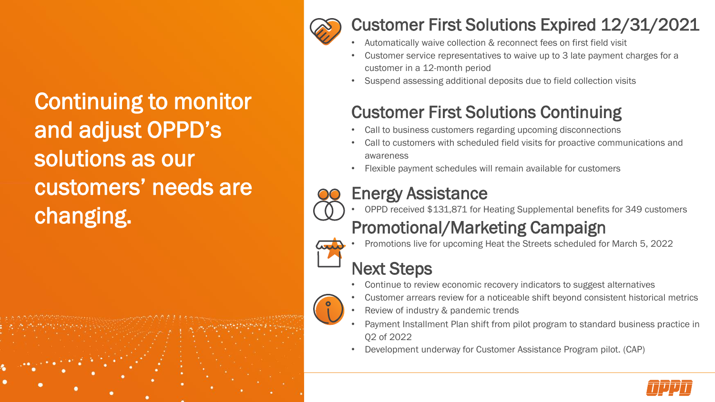Continuing to monitor and adjust OPPD's solutions as our customers' needs are changing.



#### Customer First Solutions Expired 12/31/2021

- Automatically waive collection & reconnect fees on first field visit
- Customer service representatives to waive up to 3 late payment charges for a customer in a 12-month period
- Suspend assessing additional deposits due to field collection visits

### Customer First Solutions Continuing

- Call to business customers regarding upcoming disconnections
- Call to customers with scheduled field visits for proactive communications and awareness
- Flexible payment schedules will remain available for customers

#### Energy Assistance

• OPPD received \$131,871 for Heating Supplemental benefits for 349 customers

### Promotional/Marketing Campaign



• Promotions live for upcoming Heat the Streets scheduled for March 5, 2022

#### Next Steps

- Continue to review economic recovery indicators to suggest alternatives
- Customer arrears review for a noticeable shift beyond consistent historical metrics
- Review of industry & pandemic trends
- Payment Installment Plan shift from pilot program to standard business practice in Q2 of 2022
- Development underway for Customer Assistance Program pilot. (CAP)



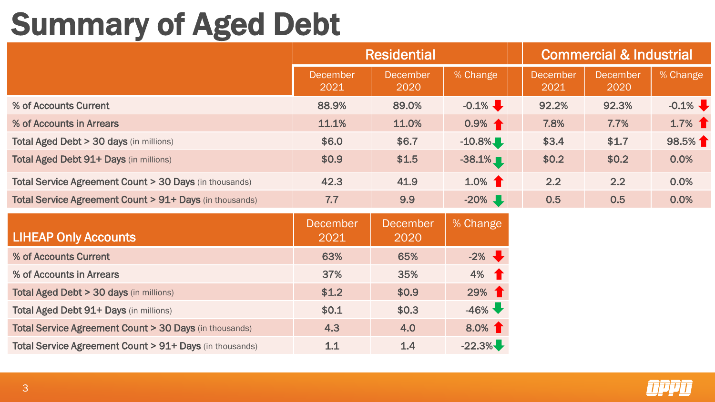# Summary of Aged Debt

|                                                                   | <b>Residential</b> |                         |                   | <b>Commercial &amp; Industrial</b> |                         |           |
|-------------------------------------------------------------------|--------------------|-------------------------|-------------------|------------------------------------|-------------------------|-----------|
|                                                                   | December<br>2021   | <b>December</b><br>2020 | % Change          | December<br>2021                   | <b>December</b><br>2020 | % Change  |
| % of Accounts Current                                             | 88.9%              | 89.0%                   | $-0.1\%$          | 92.2%                              | 92.3%                   | $-0.1\%$  |
| % of Accounts in Arrears                                          | 11.1%              | 11.0%                   | $0.9%$ $\uparrow$ | 7.8%                               | 7.7%                    | $1.7\%$ 1 |
| Total Aged Debt > 30 days (in millions)                           | \$6.0              | \$6.7                   | $-10.8\%$         | \$3.4                              | \$1.7                   | 98.5%     |
| <b>Total Aged Debt 91+ Days (in millions)</b>                     | \$0.9              | \$1.5                   | $-38.1\%$         | \$0.2\$                            | \$0.2\$                 | 0.0%      |
| <b>Total Service Agreement Count &gt; 30 Days (in thousands)</b>  | 42.3               | 41.9                    | $1.0\%$ 1         | 2.2                                | 2.2                     | 0.0%      |
| <b>Total Service Agreement Count &gt; 91+ Days (in thousands)</b> | 7.7                | 9.9                     | $-20\%$           | 0.5                                | 0.5                     | 0.0%      |

| <b>LIHEAP Only Accounts</b>                                      | <b>December</b><br>2021 | <b>December</b><br>2020 | % Change  |
|------------------------------------------------------------------|-------------------------|-------------------------|-----------|
| % of Accounts Current                                            | 63%                     | 65%                     | $-2\%$    |
| % of Accounts in Arrears                                         | 37%                     | 35%                     | $4\%$ 1   |
| <b>Total Aged Debt &gt; 30 days (in millions)</b>                | \$1.2                   | \$0.9                   | $29%$ 1   |
| Total Aged Debt 91+ Days (in millions)                           | \$0.1                   | \$0.3                   | $-46\%$   |
| <b>Total Service Agreement Count &gt; 30 Days (in thousands)</b> | 4.3                     | 4.0                     | $8.0\%$ 1 |
| Total Service Agreement Count > 91+ Days (in thousands)          | 1.1                     | 1.4                     | $-22.3\%$ |

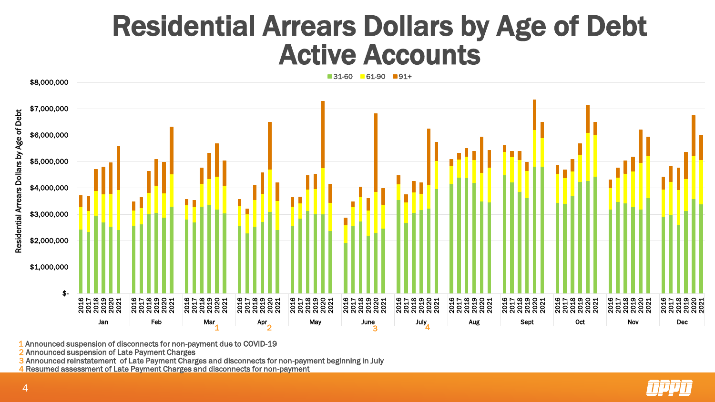## Residential Arrears Dollars by Age of Debt Active Accounts



1 Announced suspension of disconnects for non-payment due to COVID-19

2 Announced suspension of Late Payment Charges

3 Announced reinstatement of Late Payment Charges and disconnects for non-payment beginning in July

4 Resumed assessment of Late Payment Charges and disconnects for non-payment

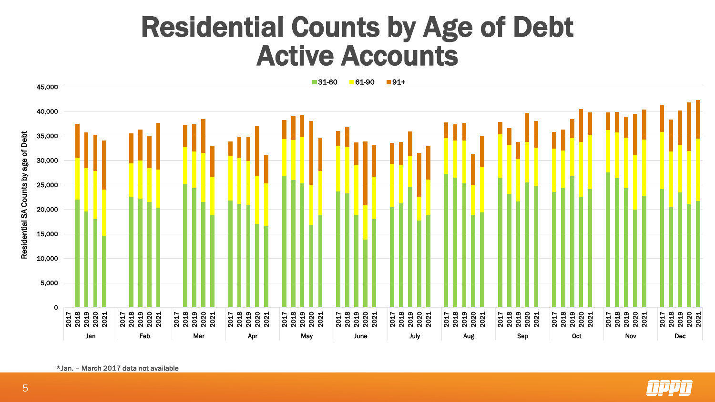## Residential Counts by Age of Debt Active Accounts







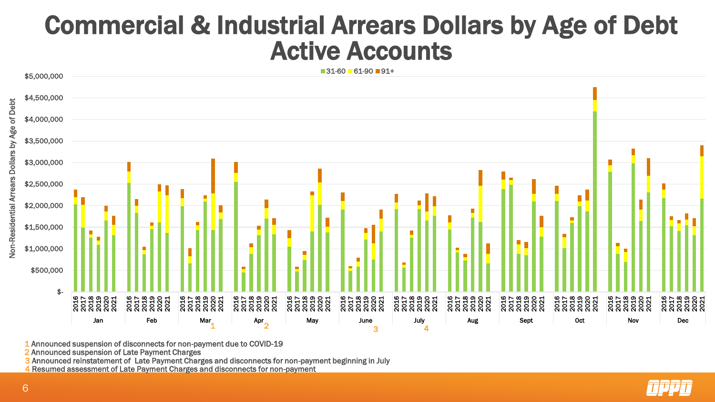## Commercial & Industrial Arrears Dollars by Age of Debt Active Accounts



1 Announced suspension of disconnects for non-payment due to COVID-19

2 Announced suspension of Late Payment Charges

3 Announced reinstatement of Late Payment Charges and disconnects for non-payment beginning in July

4 Resumed assessment of Late Payment Charges and disconnects for non-payment

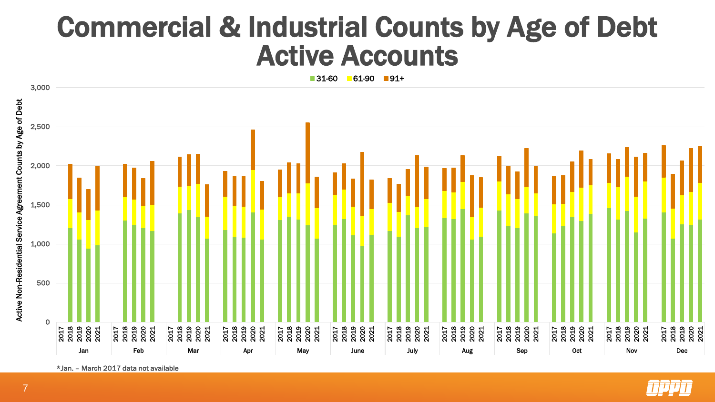## Commercial & Industrial Counts by Age of Debt Active Accounts

 $\blacksquare$  31-60  $\blacksquare$  61-90  $\blacksquare$  91+



\*Jan. – March 2017 data not available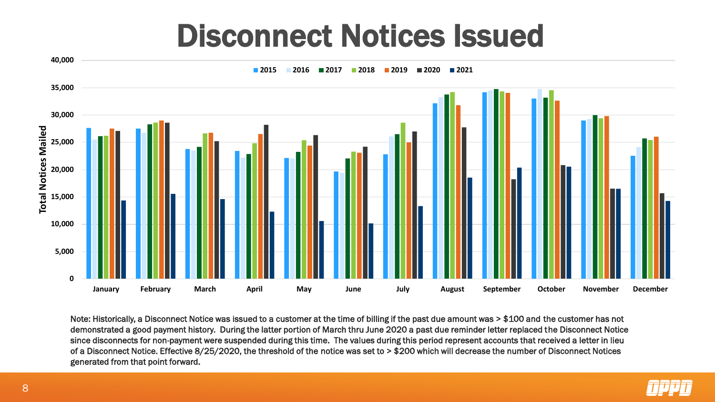## Disconnect Notices Issued



Note: Historically, a Disconnect Notice was issued to a customer at the time of billing if the past due amount was > \$100 and the customer has not demonstrated a good payment history. During the latter portion of March thru June 2020 a past due reminder letter replaced the Disconnect Notice since disconnects for non-payment were suspended during this time. The values during this period represent accounts that received a letter in lieu of a Disconnect Notice. Effective 8/25/2020, the threshold of the notice was set to > \$200 which will decrease the number of Disconnect Notices generated from that point forward.

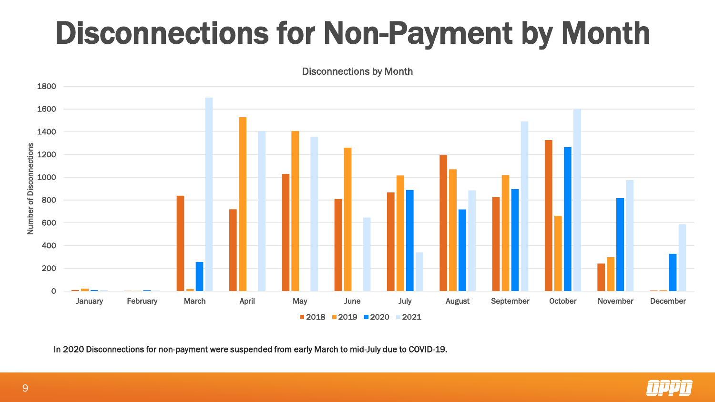# Disconnections for Non-Payment by Month



Disconnections by Month

In 2020 Disconnections for non-payment were suspended from early March to mid-July due to COVID-19.

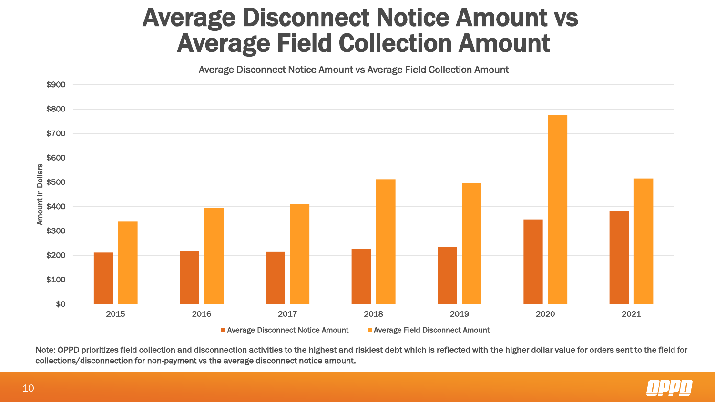## Average Disconnect Notice Amount vs Average Field Collection Amount

Average Disconnect Notice Amount vs Average Field Collection Amount



Note: OPPD prioritizes field collection and disconnection activities to the highest and riskiest debt which is reflected with the higher dollar value for orders sent to the field for collections/disconnection for non-payment vs the average disconnect notice amount.

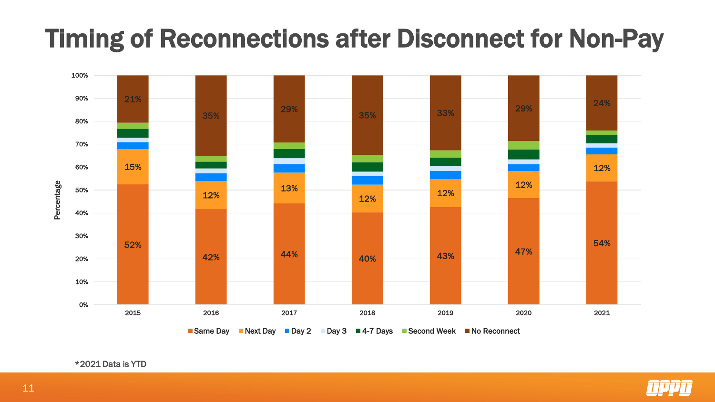## Timing of Reconnections after Disconnect for Non-Pay





\*2021 Data is YTD